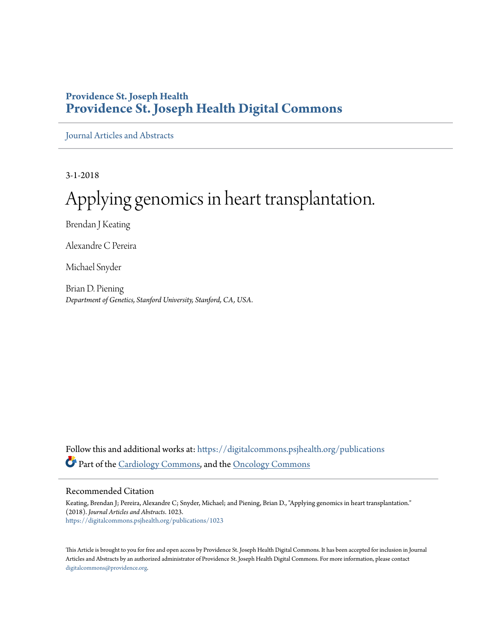## **Providence St. Joseph Health [Providence St. Joseph Health Digital Commons](https://digitalcommons.psjhealth.org?utm_source=digitalcommons.psjhealth.org%2Fpublications%2F1023&utm_medium=PDF&utm_campaign=PDFCoverPages)**

[Journal Articles and Abstracts](https://digitalcommons.psjhealth.org/publications?utm_source=digitalcommons.psjhealth.org%2Fpublications%2F1023&utm_medium=PDF&utm_campaign=PDFCoverPages)

3-1-2018

# Applying genomics in heart transplantation.

Brendan J Keating

Alexandre C Pereira

Michael Snyder

Brian D. Piening *Department of Genetics, Stanford University, Stanford, CA, USA.*

Follow this and additional works at: [https://digitalcommons.psjhealth.org/publications](https://digitalcommons.psjhealth.org/publications?utm_source=digitalcommons.psjhealth.org%2Fpublications%2F1023&utm_medium=PDF&utm_campaign=PDFCoverPages) Part of the [Cardiology Commons](http://network.bepress.com/hgg/discipline/683?utm_source=digitalcommons.psjhealth.org%2Fpublications%2F1023&utm_medium=PDF&utm_campaign=PDFCoverPages), and the [Oncology Commons](http://network.bepress.com/hgg/discipline/694?utm_source=digitalcommons.psjhealth.org%2Fpublications%2F1023&utm_medium=PDF&utm_campaign=PDFCoverPages)

#### Recommended Citation

Keating, Brendan J; Pereira, Alexandre C; Snyder, Michael; and Piening, Brian D., "Applying genomics in heart transplantation." (2018). *Journal Articles and Abstracts*. 1023. [https://digitalcommons.psjhealth.org/publications/1023](https://digitalcommons.psjhealth.org/publications/1023?utm_source=digitalcommons.psjhealth.org%2Fpublications%2F1023&utm_medium=PDF&utm_campaign=PDFCoverPages)

This Article is brought to you for free and open access by Providence St. Joseph Health Digital Commons. It has been accepted for inclusion in Journal Articles and Abstracts by an authorized administrator of Providence St. Joseph Health Digital Commons. For more information, please contact [digitalcommons@providence.org](mailto:digitalcommons@providence.org).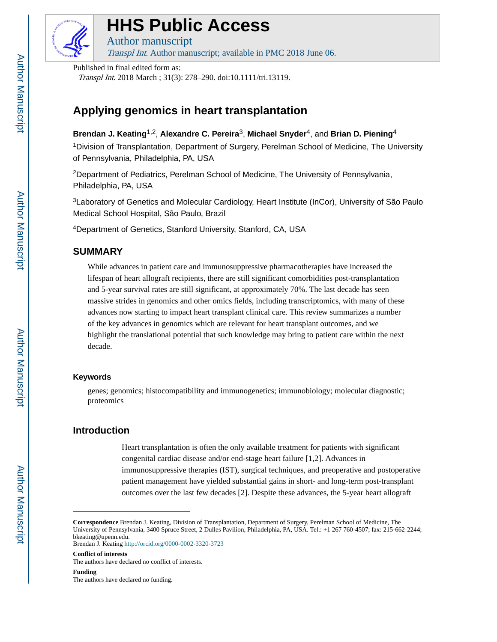

## **HHS Public Access**

Author manuscript

Transpl Int. Author manuscript; available in PMC 2018 June 06.

Published in final edited form as:

Transpl Int. 2018 March ; 31(3): 278–290. doi:10.1111/tri.13119.

## **Applying genomics in heart transplantation**

**Brendan J. Keating**1,2, **Alexandre C. Pereira**3, **Michael Snyder**4, and **Brian D. Piening**<sup>4</sup>

<sup>1</sup>Division of Transplantation, Department of Surgery, Perelman School of Medicine, The University of Pennsylvania, Philadelphia, PA, USA

<sup>2</sup>Department of Pediatrics, Perelman School of Medicine, The University of Pennsylvania, Philadelphia, PA, USA

<sup>3</sup>Laboratory of Genetics and Molecular Cardiology, Heart Institute (InCor), University of São Paulo Medical School Hospital, São Paulo, Brazil

<sup>4</sup>Department of Genetics, Stanford University, Stanford, CA, USA

## **SUMMARY**

While advances in patient care and immunosuppressive pharmacotherapies have increased the lifespan of heart allograft recipients, there are still significant comorbidities post-transplantation and 5-year survival rates are still significant, at approximately 70%. The last decade has seen massive strides in genomics and other omics fields, including transcriptomics, with many of these advances now starting to impact heart transplant clinical care. This review summarizes a number of the key advances in genomics which are relevant for heart transplant outcomes, and we highlight the translational potential that such knowledge may bring to patient care within the next decade.

#### **Keywords**

genes; genomics; histocompatibility and immunogenetics; immunobiology; molecular diagnostic; proteomics

### **Introduction**

Heart transplantation is often the only available treatment for patients with significant congenital cardiac disease and/or end-stage heart failure [1,2]. Advances in immunosuppressive therapies (IST), surgical techniques, and preoperative and postoperative patient management have yielded substantial gains in short- and long-term post-transplant outcomes over the last few decades [2]. Despite these advances, the 5-year heart allograft

**Conflict of interests** The authors have declared no conflict of interests.

**Correspondence** Brendan J. Keating, Division of Transplantation, Department of Surgery, Perelman School of Medicine, The University of Pennsylvania, 3400 Spruce Street, 2 Dulles Pavilion, Philadelphia, PA, USA. Tel.: +1 267 760-4507; fax: 215-662-2244; bkeating@upenn.edu. Brendan J. Keating<http://orcid.org/0000-0002-3320-3723>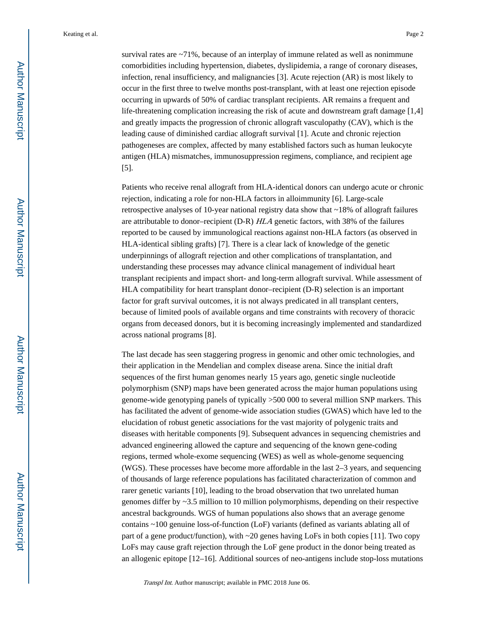survival rates are ~71%, because of an interplay of immune related as well as nonimmune comorbidities including hypertension, diabetes, dyslipidemia, a range of coronary diseases, infection, renal insufficiency, and malignancies [3]. Acute rejection (AR) is most likely to occur in the first three to twelve months post-transplant, with at least one rejection episode occurring in upwards of 50% of cardiac transplant recipients. AR remains a frequent and life-threatening complication increasing the risk of acute and downstream graft damage [1,4] and greatly impacts the progression of chronic allograft vasculopathy (CAV), which is the leading cause of diminished cardiac allograft survival [1]. Acute and chronic rejection pathogeneses are complex, affected by many established factors such as human leukocyte antigen (HLA) mismatches, immunosuppression regimens, compliance, and recipient age [5].

Patients who receive renal allograft from HLA-identical donors can undergo acute or chronic rejection, indicating a role for non-HLA factors in alloimmunity [6]. Large-scale retrospective analyses of 10-year national registry data show that ~18% of allograft failures are attributable to donor–recipient (D-R) HLA genetic factors, with 38% of the failures reported to be caused by immunological reactions against non-HLA factors (as observed in HLA-identical sibling grafts) [7]. There is a clear lack of knowledge of the genetic underpinnings of allograft rejection and other complications of transplantation, and understanding these processes may advance clinical management of individual heart transplant recipients and impact short- and long-term allograft survival. While assessment of HLA compatibility for heart transplant donor–recipient (D-R) selection is an important factor for graft survival outcomes, it is not always predicated in all transplant centers, because of limited pools of available organs and time constraints with recovery of thoracic organs from deceased donors, but it is becoming increasingly implemented and standardized across national programs [8].

The last decade has seen staggering progress in genomic and other omic technologies, and their application in the Mendelian and complex disease arena. Since the initial draft sequences of the first human genomes nearly 15 years ago, genetic single nucleotide polymorphism (SNP) maps have been generated across the major human populations using genome-wide genotyping panels of typically >500 000 to several million SNP markers. This has facilitated the advent of genome-wide association studies (GWAS) which have led to the elucidation of robust genetic associations for the vast majority of polygenic traits and diseases with heritable components [9]. Subsequent advances in sequencing chemistries and advanced engineering allowed the capture and sequencing of the known gene-coding regions, termed whole-exome sequencing (WES) as well as whole-genome sequencing (WGS). These processes have become more affordable in the last 2–3 years, and sequencing of thousands of large reference populations has facilitated characterization of common and rarer genetic variants [10], leading to the broad observation that two unrelated human genomes differ by  $\sim$ 3.5 million to 10 million polymorphisms, depending on their respective ancestral backgrounds. WGS of human populations also shows that an average genome contains ~100 genuine loss-of-function (LoF) variants (defined as variants ablating all of part of a gene product/function), with  $\sim$  20 genes having LoFs in both copies [11]. Two copy LoFs may cause graft rejection through the LoF gene product in the donor being treated as an allogenic epitope [12–16]. Additional sources of neo-antigens include stop-loss mutations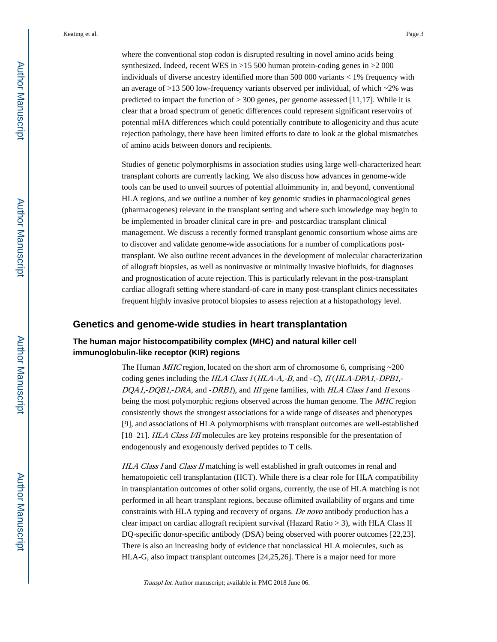where the conventional stop codon is disrupted resulting in novel amino acids being synthesized. Indeed, recent WES in >15 500 human protein-coding genes in >2 000 individuals of diverse ancestry identified more than 500 000 variants < 1% frequency with an average of >13 500 low-frequency variants observed per individual, of which ~2% was predicted to impact the function of  $>$  300 genes, per genome assessed [11,17]. While it is clear that a broad spectrum of genetic differences could represent significant reservoirs of potential mHA differences which could potentially contribute to allogenicity and thus acute rejection pathology, there have been limited efforts to date to look at the global mismatches of amino acids between donors and recipients.

Studies of genetic polymorphisms in association studies using large well-characterized heart transplant cohorts are currently lacking. We also discuss how advances in genome-wide tools can be used to unveil sources of potential alloimmunity in, and beyond, conventional HLA regions, and we outline a number of key genomic studies in pharmacological genes (pharmacogenes) relevant in the transplant setting and where such knowledge may begin to be implemented in broader clinical care in pre- and postcardiac transplant clinical management. We discuss a recently formed transplant genomic consortium whose aims are to discover and validate genome-wide associations for a number of complications posttransplant. We also outline recent advances in the development of molecular characterization of allograft biopsies, as well as noninvasive or minimally invasive biofluids, for diagnoses and prognostication of acute rejection. This is particularly relevant in the post-transplant cardiac allograft setting where standard-of-care in many post-transplant clinics necessitates frequent highly invasive protocol biopsies to assess rejection at a histopathology level.

#### **Genetics and genome-wide studies in heart transplantation**

#### **The human major histocompatibility complex (MHC) and natural killer cell immunoglobulin-like receptor (KIR) regions**

The Human *MHC* region, located on the short arm of chromosome 6, comprising  $\sim$ 200 coding genes including the HLA Class I (HLA-A,-B, and -C), II (HLA-DPA1,-DPB1,- $DOA1$ ,- $DOB1$ ,- $DRA$ , and  $-DRB1$ ), and III gene families, with HLA Class I and II exons being the most polymorphic regions observed across the human genome. The MHC region consistently shows the strongest associations for a wide range of diseases and phenotypes [9], and associations of HLA polymorphisms with transplant outcomes are well-established [18–21]. HLA Class I/II molecules are key proteins responsible for the presentation of endogenously and exogenously derived peptides to T cells.

HLA Class I and Class II matching is well established in graft outcomes in renal and hematopoietic cell transplantation (HCT). While there is a clear role for HLA compatibility in transplantation outcomes of other solid organs, currently, the use of HLA matching is not performed in all heart transplant regions, because oflimited availability of organs and time constraints with HLA typing and recovery of organs. De novo antibody production has a clear impact on cardiac allograft recipient survival (Hazard Ratio > 3), with HLA Class II DQ-specific donor-specific antibody (DSA) being observed with poorer outcomes [22,23]. There is also an increasing body of evidence that nonclassical HLA molecules, such as HLA-G, also impact transplant outcomes [24,25,26]. There is a major need for more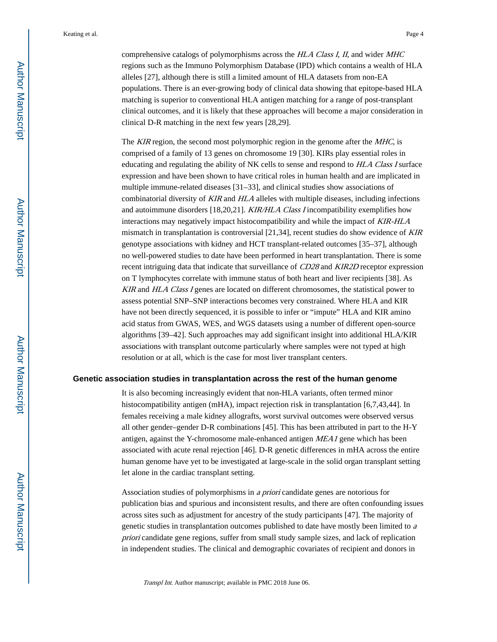comprehensive catalogs of polymorphisms across the HLA Class I, II, and wider MHC regions such as the Immuno Polymorphism Database (IPD) which contains a wealth of HLA alleles [27], although there is still a limited amount of HLA datasets from non-EA populations. There is an ever-growing body of clinical data showing that epitope-based HLA matching is superior to conventional HLA antigen matching for a range of post-transplant clinical outcomes, and it is likely that these approaches will become a major consideration in clinical D-R matching in the next few years [28,29].

The KIR region, the second most polymorphic region in the genome after the MHC, is comprised of a family of 13 genes on chromosome 19 [30]. KIRs play essential roles in educating and regulating the ability of NK cells to sense and respond to HLA Class I surface expression and have been shown to have critical roles in human health and are implicated in multiple immune-related diseases [31–33], and clinical studies show associations of combinatorial diversity of KIR and HLA alleles with multiple diseases, including infections and autoimmune disorders [18,20,21]. KIR/HLA Class I incompatibility exemplifies how interactions may negatively impact histocompatibility and while the impact of KIR-HLA mismatch in transplantation is controversial  $[21,34]$ , recent studies do show evidence of *KIR* genotype associations with kidney and HCT transplant-related outcomes [35–37], although no well-powered studies to date have been performed in heart transplantation. There is some recent intriguing data that indicate that surveillance of CD28 and KIR2D receptor expression on T lymphocytes correlate with immune status of both heart and liver recipients [38]. As KIR and HLA Class I genes are located on different chromosomes, the statistical power to assess potential SNP–SNP interactions becomes very constrained. Where HLA and KIR have not been directly sequenced, it is possible to infer or "impute" HLA and KIR amino acid status from GWAS, WES, and WGS datasets using a number of different open-source algorithms [39–42]. Such approaches may add significant insight into additional HLA/KIR associations with transplant outcome particularly where samples were not typed at high resolution or at all, which is the case for most liver transplant centers.

#### **Genetic association studies in transplantation across the rest of the human genome**

It is also becoming increasingly evident that non-HLA variants, often termed minor histocompatibility antigen (mHA), impact rejection risk in transplantation [6,7,43,44]. In females receiving a male kidney allografts, worst survival outcomes were observed versus all other gender–gender D-R combinations [45]. This has been attributed in part to the H-Y antigen, against the Y-chromosome male-enhanced antigen MEA1 gene which has been associated with acute renal rejection [46]. D-R genetic differences in mHA across the entire human genome have yet to be investigated at large-scale in the solid organ transplant setting let alone in the cardiac transplant setting.

Association studies of polymorphisms in a priori candidate genes are notorious for publication bias and spurious and inconsistent results, and there are often confounding issues across sites such as adjustment for ancestry of the study participants [47]. The majority of genetic studies in transplantation outcomes published to date have mostly been limited to <sup>a</sup> priori candidate gene regions, suffer from small study sample sizes, and lack of replication in independent studies. The clinical and demographic covariates of recipient and donors in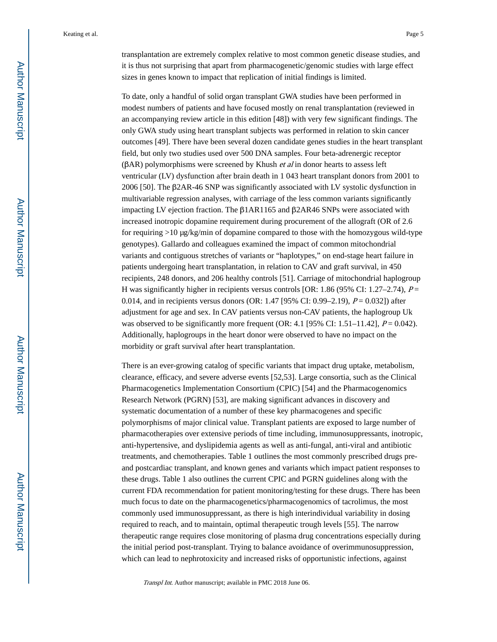transplantation are extremely complex relative to most common genetic disease studies, and it is thus not surprising that apart from pharmacogenetic/genomic studies with large effect sizes in genes known to impact that replication of initial findings is limited.

To date, only a handful of solid organ transplant GWA studies have been performed in modest numbers of patients and have focused mostly on renal transplantation (reviewed in an accompanying review article in this edition [48]) with very few significant findings. The only GWA study using heart transplant subjects was performed in relation to skin cancer outcomes [49]. There have been several dozen candidate genes studies in the heart transplant field, but only two studies used over 500 DNA samples. Four beta-adrenergic receptor (βAR) polymorphisms were screened by Khush *et al* in donor hearts to assess left ventricular (LV) dysfunction after brain death in 1 043 heart transplant donors from 2001 to 2006 [50]. The β2AR-46 SNP was significantly associated with LV systolic dysfunction in multivariable regression analyses, with carriage of the less common variants significantly impacting LV ejection fraction. The β1AR1165 and β2AR46 SNPs were associated with increased inotropic dopamine requirement during procurement of the allograft (OR of 2.6 for requiring  $>10 \mu g/kg/min$  of dopamine compared to those with the homozygous wild-type genotypes). Gallardo and colleagues examined the impact of common mitochondrial variants and contiguous stretches of variants or "haplotypes," on end-stage heart failure in patients undergoing heart transplantation, in relation to CAV and graft survival, in 450 recipients, 248 donors, and 206 healthy controls [51]. Carriage of mitochondrial haplogroup H was significantly higher in recipients versus controls [OR: 1.86 (95% CI: 1.27–2.74),  $P =$ 0.014, and in recipients versus donors (OR: 1.47 [95% CI: 0.99–2.19),  $P = 0.032$ ]) after adjustment for age and sex. In CAV patients versus non-CAV patients, the haplogroup Uk was observed to be significantly more frequent (OR: 4.1 [95% CI: 1.51–11.42],  $P = 0.042$ ). Additionally, haplogroups in the heart donor were observed to have no impact on the morbidity or graft survival after heart transplantation.

There is an ever-growing catalog of specific variants that impact drug uptake, metabolism, clearance, efficacy, and severe adverse events [52,53]. Large consortia, such as the Clinical Pharmacogenetics Implementation Consortium (CPIC) [54] and the Pharmacogenomics Research Network (PGRN) [53], are making significant advances in discovery and systematic documentation of a number of these key pharmacogenes and specific polymorphisms of major clinical value. Transplant patients are exposed to large number of pharmacotherapies over extensive periods of time including, immunosuppressants, inotropic, anti-hypertensive, and dyslipidemia agents as well as anti-fungal, anti-viral and antibiotic treatments, and chemotherapies. Table 1 outlines the most commonly prescribed drugs preand postcardiac transplant, and known genes and variants which impact patient responses to these drugs. Table 1 also outlines the current CPIC and PGRN guidelines along with the current FDA recommendation for patient monitoring/testing for these drugs. There has been much focus to date on the pharmacogenetics/pharmacogenomics of tacrolimus, the most commonly used immunosuppressant, as there is high interindividual variability in dosing required to reach, and to maintain, optimal therapeutic trough levels [55]. The narrow therapeutic range requires close monitoring of plasma drug concentrations especially during the initial period post-transplant. Trying to balance avoidance of overimmunosuppression, which can lead to nephrotoxicity and increased risks of opportunistic infections, against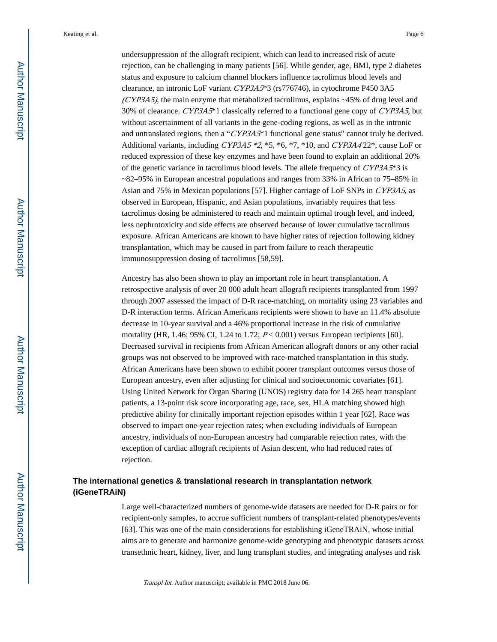undersuppression of the allograft recipient, which can lead to increased risk of acute rejection, can be challenging in many patients [56]. While gender, age, BMI, type 2 diabetes status and exposure to calcium channel blockers influence tacrolimus blood levels and clearance, an intronic LoF variant CYP3A5\*3 (rs776746), in cytochrome P450 3A5  $(CYP3A5)$ , the main enzyme that metabolized tacrolimus, explains  $\sim$ 45% of drug level and 30% of clearance. CYP3A5\*1 classically referred to a functional gene copy of CYP3A5, but without ascertainment of all variants in the gene-coding regions, as well as in the intronic and untranslated regions, then a "CYP3A5\*1 functional gene status" cannot truly be derived. Additional variants, including CYP3A5  $*2$ ,  $*5$ ,  $*6$ ,  $*7$ ,  $*10$ , and CYP3A4 22<sup>\*</sup>, cause LoF or reduced expression of these key enzymes and have been found to explain an additional 20% of the genetic variance in tacrolimus blood levels. The allele frequency of  $\mathbb{C}YP3A5^{*3}$  is  $\approx$ 82–95% in European ancestral populations and ranges from 33% in African to 75–85% in Asian and 75% in Mexican populations [57]. Higher carriage of LoF SNPs in CYP3A5, as observed in European, Hispanic, and Asian populations, invariably requires that less tacrolimus dosing be administered to reach and maintain optimal trough level, and indeed, less nephrotoxicity and side effects are observed because of lower cumulative tacrolimus exposure. African Americans are known to have higher rates of rejection following kidney transplantation, which may be caused in part from failure to reach therapeutic immunosuppression dosing of tacrolimus [58,59].

Ancestry has also been shown to play an important role in heart transplantation. A retrospective analysis of over 20 000 adult heart allograft recipients transplanted from 1997 through 2007 assessed the impact of D-R race-matching, on mortality using 23 variables and D-R interaction terms. African Americans recipients were shown to have an 11.4% absolute decrease in 10-year survival and a 46% proportional increase in the risk of cumulative mortality (HR, 1.46; 95% CI, 1.24 to 1.72;  $P < 0.001$ ) versus European recipients [60]. Decreased survival in recipients from African American allograft donors or any other racial groups was not observed to be improved with race-matched transplantation in this study. African Americans have been shown to exhibit poorer transplant outcomes versus those of European ancestry, even after adjusting for clinical and socioeconomic covariates [61]. Using United Network for Organ Sharing (UNOS) registry data for 14 265 heart transplant patients, a 13-point risk score incorporating age, race, sex, HLA matching showed high predictive ability for clinically important rejection episodes within 1 year [62]. Race was observed to impact one-year rejection rates; when excluding individuals of European ancestry, individuals of non-European ancestry had comparable rejection rates, with the exception of cardiac allograft recipients of Asian descent, who had reduced rates of rejection.

#### **The international genetics & translational research in transplantation network (iGeneTRAiN)**

Large well-characterized numbers of genome-wide datasets are needed for D-R pairs or for recipient-only samples, to accrue sufficient numbers of transplant-related phenotypes/events [63]. This was one of the main considerations for establishing iGeneTRAiN, whose initial aims are to generate and harmonize genome-wide genotyping and phenotypic datasets across transethnic heart, kidney, liver, and lung transplant studies, and integrating analyses and risk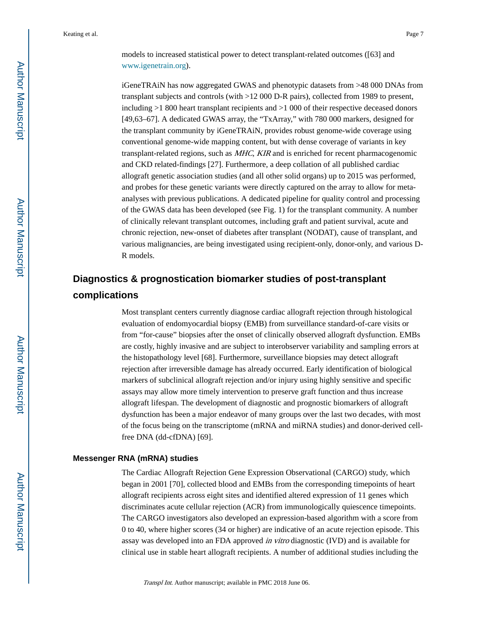models to increased statistical power to detect transplant-related outcomes ([63] and [www.igenetrain.org](http://www.igenetrain.org)).

iGeneTRAiN has now aggregated GWAS and phenotypic datasets from >48 000 DNAs from transplant subjects and controls (with >12 000 D-R pairs), collected from 1989 to present, including >1 800 heart transplant recipients and >1 000 of their respective deceased donors [49,63–67]. A dedicated GWAS array, the "TxArray," with 780 000 markers, designed for the transplant community by iGeneTRAiN, provides robust genome-wide coverage using conventional genome-wide mapping content, but with dense coverage of variants in key transplant-related regions, such as MHC, KIR and is enriched for recent pharmacogenomic and CKD related-findings [27]. Furthermore, a deep collation of all published cardiac allograft genetic association studies (and all other solid organs) up to 2015 was performed, and probes for these genetic variants were directly captured on the array to allow for metaanalyses with previous publications. A dedicated pipeline for quality control and processing of the GWAS data has been developed (see Fig. 1) for the transplant community. A number of clinically relevant transplant outcomes, including graft and patient survival, acute and chronic rejection, new-onset of diabetes after transplant (NODAT), cause of transplant, and various malignancies, are being investigated using recipient-only, donor-only, and various D-R models.

## **Diagnostics & prognostication biomarker studies of post-transplant complications**

Most transplant centers currently diagnose cardiac allograft rejection through histological evaluation of endomyocardial biopsy (EMB) from surveillance standard-of-care visits or from "for-cause" biopsies after the onset of clinically observed allograft dysfunction. EMBs are costly, highly invasive and are subject to interobserver variability and sampling errors at the histopathology level [68]. Furthermore, surveillance biopsies may detect allograft rejection after irreversible damage has already occurred. Early identification of biological markers of subclinical allograft rejection and/or injury using highly sensitive and specific assays may allow more timely intervention to preserve graft function and thus increase allograft lifespan. The development of diagnostic and prognostic biomarkers of allograft dysfunction has been a major endeavor of many groups over the last two decades, with most of the focus being on the transcriptome (mRNA and miRNA studies) and donor-derived cellfree DNA (dd-cfDNA) [69].

#### **Messenger RNA (mRNA) studies**

The Cardiac Allograft Rejection Gene Expression Observational (CARGO) study, which began in 2001 [70], collected blood and EMBs from the corresponding timepoints of heart allograft recipients across eight sites and identified altered expression of 11 genes which discriminates acute cellular rejection (ACR) from immunologically quiescence timepoints. The CARGO investigators also developed an expression-based algorithm with a score from 0 to 40, where higher scores (34 or higher) are indicative of an acute rejection episode. This assay was developed into an FDA approved in vitro diagnostic (IVD) and is available for clinical use in stable heart allograft recipients. A number of additional studies including the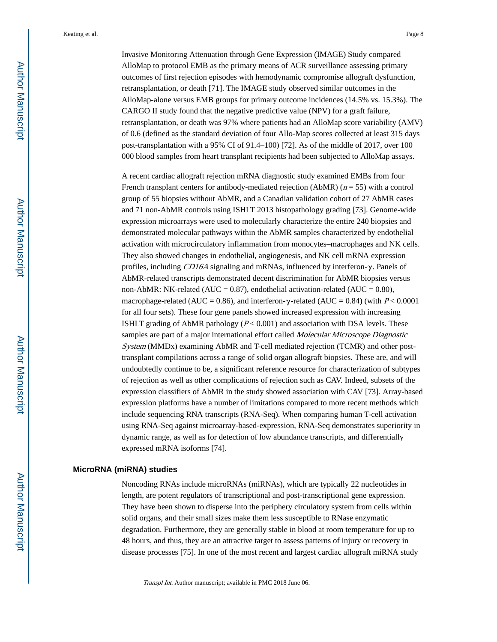Invasive Monitoring Attenuation through Gene Expression (IMAGE) Study compared AlloMap to protocol EMB as the primary means of ACR surveillance assessing primary outcomes of first rejection episodes with hemodynamic compromise allograft dysfunction, retransplantation, or death [71]. The IMAGE study observed similar outcomes in the AlloMap-alone versus EMB groups for primary outcome incidences (14.5% vs. 15.3%). The CARGO II study found that the negative predictive value (NPV) for a graft failure, retransplantation, or death was 97% where patients had an AlloMap score variability (AMV) of 0.6 (defined as the standard deviation of four Allo-Map scores collected at least 315 days post-transplantation with a 95% CI of 91.4–100) [72]. As of the middle of 2017, over 100 000 blood samples from heart transplant recipients had been subjected to AlloMap assays.

A recent cardiac allograft rejection mRNA diagnostic study examined EMBs from four French transplant centers for antibody-mediated rejection (AbMR) ( $n = 55$ ) with a control group of 55 biopsies without AbMR, and a Canadian validation cohort of 27 AbMR cases and 71 non-AbMR controls using ISHLT 2013 histopathology grading [73]. Genome-wide expression microarrays were used to molecularly characterize the entire 240 biopsies and demonstrated molecular pathways within the AbMR samples characterized by endothelial activation with microcirculatory inflammation from monocytes–macrophages and NK cells. They also showed changes in endothelial, angiogenesis, and NK cell mRNA expression profiles, including CD16A signaling and mRNAs, influenced by interferon-γ. Panels of AbMR-related transcripts demonstrated decent discrimination for AbMR biopsies versus non-AbMR: NK-related (AUC =  $0.87$ ), endothelial activation-related (AUC =  $0.80$ ), macrophage-related (AUC = 0.86), and interferon- $\gamma$ -related (AUC = 0.84) (with P < 0.0001 for all four sets). These four gene panels showed increased expression with increasing ISHLT grading of AbMR pathology ( $P < 0.001$ ) and association with DSA levels. These samples are part of a major international effort called *Molecular Microscope Diagnostic* System (MMDx) examining AbMR and T-cell mediated rejection (TCMR) and other posttransplant compilations across a range of solid organ allograft biopsies. These are, and will undoubtedly continue to be, a significant reference resource for characterization of subtypes of rejection as well as other complications of rejection such as CAV. Indeed, subsets of the expression classifiers of AbMR in the study showed association with CAV [73]. Array-based expression platforms have a number of limitations compared to more recent methods which include sequencing RNA transcripts (RNA-Seq). When comparing human T-cell activation using RNA-Seq against microarray-based-expression, RNA-Seq demonstrates superiority in dynamic range, as well as for detection of low abundance transcripts, and differentially expressed mRNA isoforms [74].

#### **MicroRNA (miRNA) studies**

Noncoding RNAs include microRNAs (miRNAs), which are typically 22 nucleotides in length, are potent regulators of transcriptional and post-transcriptional gene expression. They have been shown to disperse into the periphery circulatory system from cells within solid organs, and their small sizes make them less susceptible to RNase enzymatic degradation. Furthermore, they are generally stable in blood at room temperature for up to 48 hours, and thus, they are an attractive target to assess patterns of injury or recovery in disease processes [75]. In one of the most recent and largest cardiac allograft miRNA study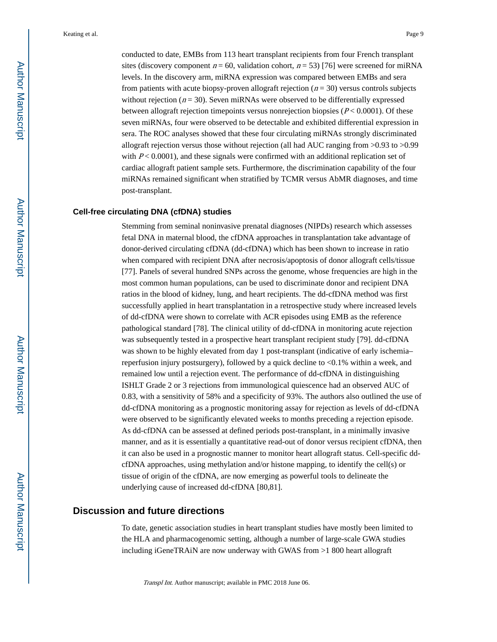conducted to date, EMBs from 113 heart transplant recipients from four French transplant sites (discovery component  $n = 60$ , validation cohort,  $n = 53$ ) [76] were screened for miRNA levels. In the discovery arm, miRNA expression was compared between EMBs and sera from patients with acute biopsy-proven allograft rejection ( $n = 30$ ) versus controls subjects without rejection ( $n = 30$ ). Seven miRNAs were observed to be differentially expressed between allograft rejection timepoints versus nonrejection biopsies ( $P < 0.0001$ ). Of these seven miRNAs, four were observed to be detectable and exhibited differential expression in sera. The ROC analyses showed that these four circulating miRNAs strongly discriminated allograft rejection versus those without rejection (all had AUC ranging from >0.93 to >0.99 with  $P < 0.0001$ ), and these signals were confirmed with an additional replication set of cardiac allograft patient sample sets. Furthermore, the discrimination capability of the four miRNAs remained significant when stratified by TCMR versus AbMR diagnoses, and time post-transplant.

#### **Cell-free circulating DNA (cfDNA) studies**

Stemming from seminal noninvasive prenatal diagnoses (NIPDs) research which assesses fetal DNA in maternal blood, the cfDNA approaches in transplantation take advantage of donor-derived circulating cfDNA (dd-cfDNA) which has been shown to increase in ratio when compared with recipient DNA after necrosis/apoptosis of donor allograft cells/tissue [77]. Panels of several hundred SNPs across the genome, whose frequencies are high in the most common human populations, can be used to discriminate donor and recipient DNA ratios in the blood of kidney, lung, and heart recipients. The dd-cfDNA method was first successfully applied in heart transplantation in a retrospective study where increased levels of dd-cfDNA were shown to correlate with ACR episodes using EMB as the reference pathological standard [78]. The clinical utility of dd-cfDNA in monitoring acute rejection was subsequently tested in a prospective heart transplant recipient study [79]. dd-cfDNA was shown to be highly elevated from day 1 post-transplant (indicative of early ischemia– reperfusion injury postsurgery), followed by a quick decline to <0.1% within a week, and remained low until a rejection event. The performance of dd-cfDNA in distinguishing ISHLT Grade 2 or 3 rejections from immunological quiescence had an observed AUC of 0.83, with a sensitivity of 58% and a specificity of 93%. The authors also outlined the use of dd-cfDNA monitoring as a prognostic monitoring assay for rejection as levels of dd-cfDNA were observed to be significantly elevated weeks to months preceding a rejection episode. As dd-cfDNA can be assessed at defined periods post-transplant, in a minimally invasive manner, and as it is essentially a quantitative read-out of donor versus recipient cfDNA, then it can also be used in a prognostic manner to monitor heart allograft status. Cell-specific ddcfDNA approaches, using methylation and/or histone mapping, to identify the cell(s) or tissue of origin of the cfDNA, are now emerging as powerful tools to delineate the underlying cause of increased dd-cfDNA [80,81].

#### **Discussion and future directions**

To date, genetic association studies in heart transplant studies have mostly been limited to the HLA and pharmacogenomic setting, although a number of large-scale GWA studies including iGeneTRAiN are now underway with GWAS from >1 800 heart allograft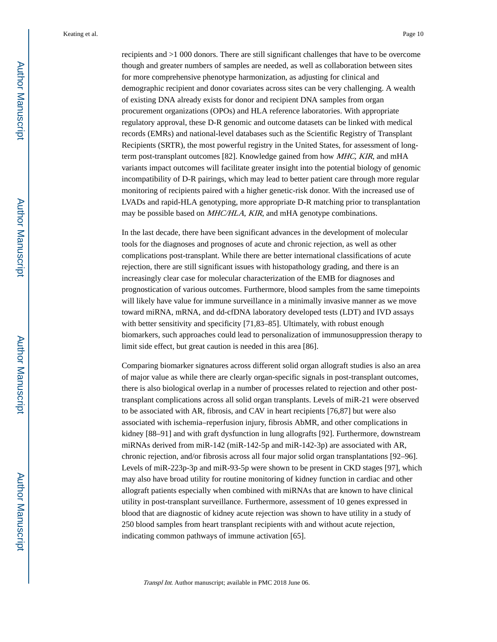recipients and >1 000 donors. There are still significant challenges that have to be overcome though and greater numbers of samples are needed, as well as collaboration between sites for more comprehensive phenotype harmonization, as adjusting for clinical and demographic recipient and donor covariates across sites can be very challenging. A wealth of existing DNA already exists for donor and recipient DNA samples from organ procurement organizations (OPOs) and HLA reference laboratories. With appropriate regulatory approval, these D-R genomic and outcome datasets can be linked with medical records (EMRs) and national-level databases such as the Scientific Registry of Transplant Recipients (SRTR), the most powerful registry in the United States, for assessment of longterm post-transplant outcomes [82]. Knowledge gained from how MHC, KIR, and mHA variants impact outcomes will facilitate greater insight into the potential biology of genomic incompatibility of D-R pairings, which may lead to better patient care through more regular monitoring of recipients paired with a higher genetic-risk donor. With the increased use of LVADs and rapid-HLA genotyping, more appropriate D-R matching prior to transplantation may be possible based on MHC/HLA, KIR, and mHA genotype combinations.

In the last decade, there have been significant advances in the development of molecular tools for the diagnoses and prognoses of acute and chronic rejection, as well as other complications post-transplant. While there are better international classifications of acute rejection, there are still significant issues with histopathology grading, and there is an increasingly clear case for molecular characterization of the EMB for diagnoses and prognostication of various outcomes. Furthermore, blood samples from the same timepoints will likely have value for immune surveillance in a minimally invasive manner as we move toward miRNA, mRNA, and dd-cfDNA laboratory developed tests (LDT) and IVD assays with better sensitivity and specificity [71,83–85]. Ultimately, with robust enough biomarkers, such approaches could lead to personalization of immunosuppression therapy to limit side effect, but great caution is needed in this area [86].

Comparing biomarker signatures across different solid organ allograft studies is also an area of major value as while there are clearly organ-specific signals in post-transplant outcomes, there is also biological overlap in a number of processes related to rejection and other posttransplant complications across all solid organ transplants. Levels of miR-21 were observed to be associated with AR, fibrosis, and CAV in heart recipients [76,87] but were also associated with ischemia–reperfusion injury, fibrosis AbMR, and other complications in kidney [88–91] and with graft dysfunction in lung allografts [92]. Furthermore, downstream miRNAs derived from miR-142 (miR-142-5p and miR-142-3p) are associated with AR, chronic rejection, and/or fibrosis across all four major solid organ transplantations [92–96]. Levels of miR-223p-3p and miR-93-5p were shown to be present in CKD stages [97], which may also have broad utility for routine monitoring of kidney function in cardiac and other allograft patients especially when combined with miRNAs that are known to have clinical utility in post-transplant surveillance. Furthermore, assessment of 10 genes expressed in blood that are diagnostic of kidney acute rejection was shown to have utility in a study of 250 blood samples from heart transplant recipients with and without acute rejection, indicating common pathways of immune activation [65].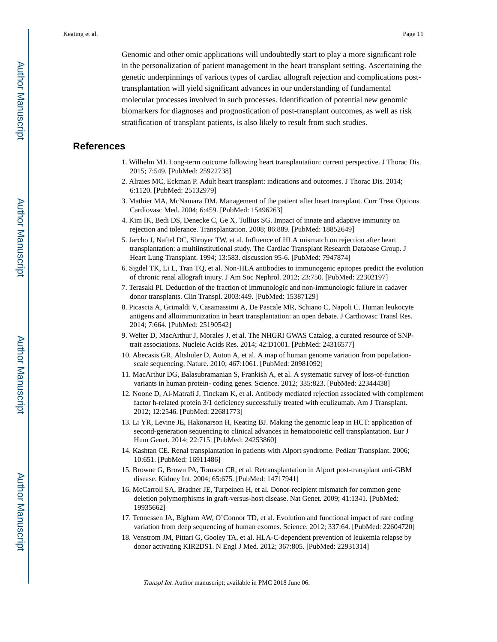Genomic and other omic applications will undoubtedly start to play a more significant role in the personalization of patient management in the heart transplant setting. Ascertaining the genetic underpinnings of various types of cardiac allograft rejection and complications posttransplantation will yield significant advances in our understanding of fundamental molecular processes involved in such processes. Identification of potential new genomic biomarkers for diagnoses and prognostication of post-transplant outcomes, as well as risk stratification of transplant patients, is also likely to result from such studies.

#### **References**

- 1. Wilhelm MJ. Long-term outcome following heart transplantation: current perspective. J Thorac Dis. 2015; 7:549. [PubMed: 25922738]
- 2. Alraies MC, Eckman P. Adult heart transplant: indications and outcomes. J Thorac Dis. 2014; 6:1120. [PubMed: 25132979]
- 3. Mathier MA, McNamara DM. Management of the patient after heart transplant. Curr Treat Options Cardiovasc Med. 2004; 6:459. [PubMed: 15496263]
- 4. Kim IK, Bedi DS, Denecke C, Ge X, Tullius SG. Impact of innate and adaptive immunity on rejection and tolerance. Transplantation. 2008; 86:889. [PubMed: 18852649]
- 5. Jarcho J, Naftel DC, Shroyer TW, et al. Influence of HLA mismatch on rejection after heart transplantation: a multiinstitutional study. The Cardiac Transplant Research Database Group. J Heart Lung Transplant. 1994; 13:583. discussion 95-6. [PubMed: 7947874]
- 6. Sigdel TK, Li L, Tran TQ, et al. Non-HLA antibodies to immunogenic epitopes predict the evolution of chronic renal allograft injury. J Am Soc Nephrol. 2012; 23:750. [PubMed: 22302197]
- 7. Terasaki PI. Deduction of the fraction of immunologic and non-immunologic failure in cadaver donor transplants. Clin Transpl. 2003:449. [PubMed: 15387129]
- 8. Picascia A, Grimaldi V, Casamassimi A, De Pascale MR, Schiano C, Napoli C. Human leukocyte antigens and alloimmunization in heart transplantation: an open debate. J Cardiovasc Transl Res. 2014; 7:664. [PubMed: 25190542]
- 9. Welter D, MacArthur J, Morales J, et al. The NHGRI GWAS Catalog, a curated resource of SNPtrait associations. Nucleic Acids Res. 2014; 42:D1001. [PubMed: 24316577]
- 10. Abecasis GR, Altshuler D, Auton A, et al. A map of human genome variation from populationscale sequencing. Nature. 2010; 467:1061. [PubMed: 20981092]
- 11. MacArthur DG, Balasubramanian S, Frankish A, et al. A systematic survey of loss-of-function variants in human protein- coding genes. Science. 2012; 335:823. [PubMed: 22344438]
- 12. Noone D, Al-Matrafi J, Tinckam K, et al. Antibody mediated rejection associated with complement factor h-related protein 3/1 deficiency successfully treated with eculizumab. Am J Transplant. 2012; 12:2546. [PubMed: 22681773]
- 13. Li YR, Levine JE, Hakonarson H, Keating BJ. Making the genomic leap in HCT: application of second-generation sequencing to clinical advances in hematopoietic cell transplantation. Eur J Hum Genet. 2014; 22:715. [PubMed: 24253860]
- 14. Kashtan CE. Renal transplantation in patients with Alport syndrome. Pediatr Transplant. 2006; 10:651. [PubMed: 16911486]
- 15. Browne G, Brown PA, Tomson CR, et al. Retransplantation in Alport post-transplant anti-GBM disease. Kidney Int. 2004; 65:675. [PubMed: 14717941]
- 16. McCarroll SA, Bradner JE, Turpeinen H, et al. Donor-recipient mismatch for common gene deletion polymorphisms in graft-versus-host disease. Nat Genet. 2009; 41:1341. [PubMed: 19935662]
- 17. Tennessen JA, Bigham AW, O'Connor TD, et al. Evolution and functional impact of rare coding variation from deep sequencing of human exomes. Science. 2012; 337:64. [PubMed: 22604720]
- 18. Venstrom JM, Pittari G, Gooley TA, et al. HLA-C-dependent prevention of leukemia relapse by donor activating KIR2DS1. N Engl J Med. 2012; 367:805. [PubMed: 22931314]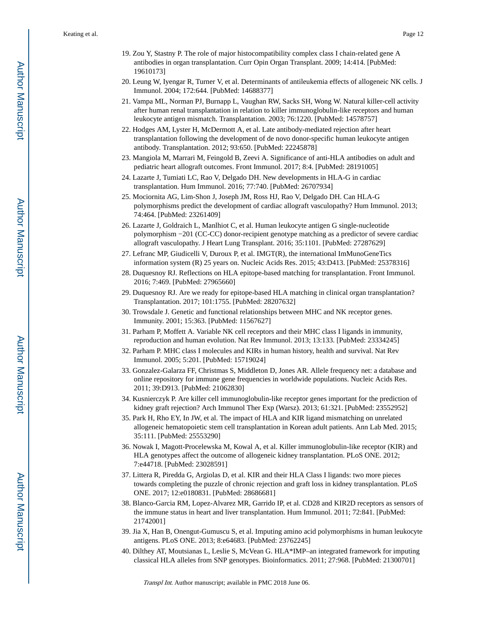- 19. Zou Y, Stastny P. The role of major histocompatibility complex class I chain-related gene A antibodies in organ transplantation. Curr Opin Organ Transplant. 2009; 14:414. [PubMed: 19610173]
- 20. Leung W, Iyengar R, Turner V, et al. Determinants of antileukemia effects of allogeneic NK cells. J Immunol. 2004; 172:644. [PubMed: 14688377]
- 21. Vampa ML, Norman PJ, Burnapp L, Vaughan RW, Sacks SH, Wong W. Natural killer-cell activity after human renal transplantation in relation to killer immunoglobulin-like receptors and human leukocyte antigen mismatch. Transplantation. 2003; 76:1220. [PubMed: 14578757]
- 22. Hodges AM, Lyster H, McDermott A, et al. Late antibody-mediated rejection after heart transplantation following the development of de novo donor-specific human leukocyte antigen antibody. Transplantation. 2012; 93:650. [PubMed: 22245878]
- 23. Mangiola M, Marrari M, Feingold B, Zeevi A. Significance of anti-HLA antibodies on adult and pediatric heart allograft outcomes. Front Immunol. 2017; 8:4. [PubMed: 28191005]
- 24. Lazarte J, Tumiati LC, Rao V, Delgado DH. New developments in HLA-G in cardiac transplantation. Hum Immunol. 2016; 77:740. [PubMed: 26707934]
- 25. Mociornita AG, Lim-Shon J, Joseph JM, Ross HJ, Rao V, Delgado DH. Can HLA-G polymorphisms predict the development of cardiac allograft vasculopathy? Hum Immunol. 2013; 74:464. [PubMed: 23261409]
- 26. Lazarte J, Goldraich L, Manlhiot C, et al. Human leukocyte antigen G single-nucleotide polymorphism −201 (CC-CC) donor-recipient genotype matching as a predictor of severe cardiac allograft vasculopathy. J Heart Lung Transplant. 2016; 35:1101. [PubMed: 27287629]
- 27. Lefranc MP, Giudicelli V, Duroux P, et al. IMGT(R), the international ImMunoGeneTics information system (R) 25 years on. Nucleic Acids Res. 2015; 43:D413. [PubMed: 25378316]
- 28. Duquesnoy RJ. Reflections on HLA epitope-based matching for transplantation. Front Immunol. 2016; 7:469. [PubMed: 27965660]
- 29. Duquesnoy RJ. Are we ready for epitope-based HLA matching in clinical organ transplantation? Transplantation. 2017; 101:1755. [PubMed: 28207632]
- 30. Trowsdale J. Genetic and functional relationships between MHC and NK receptor genes. Immunity. 2001; 15:363. [PubMed: 11567627]
- 31. Parham P, Moffett A. Variable NK cell receptors and their MHC class I ligands in immunity, reproduction and human evolution. Nat Rev Immunol. 2013; 13:133. [PubMed: 23334245]
- 32. Parham P. MHC class I molecules and KIRs in human history, health and survival. Nat Rev Immunol. 2005; 5:201. [PubMed: 15719024]
- 33. Gonzalez-Galarza FF, Christmas S, Middleton D, Jones AR. Allele frequency net: a database and online repository for immune gene frequencies in worldwide populations. Nucleic Acids Res. 2011; 39:D913. [PubMed: 21062830]
- 34. Kusnierczyk P. Are killer cell immunoglobulin-like receptor genes important for the prediction of kidney graft rejection? Arch Immunol Ther Exp (Warsz). 2013; 61:321. [PubMed: 23552952]
- 35. Park H, Rho EY, In JW, et al. The impact of HLA and KIR ligand mismatching on unrelated allogeneic hematopoietic stem cell transplantation in Korean adult patients. Ann Lab Med. 2015; 35:111. [PubMed: 25553290]
- 36. Nowak I, Magott-Procelewska M, Kowal A, et al. Killer immunoglobulin-like receptor (KIR) and HLA genotypes affect the outcome of allogeneic kidney transplantation. PLoS ONE. 2012; 7:e44718. [PubMed: 23028591]
- 37. Littera R, Piredda G, Argiolas D, et al. KIR and their HLA Class I ligands: two more pieces towards completing the puzzle of chronic rejection and graft loss in kidney transplantation. PLoS ONE. 2017; 12:e0180831. [PubMed: 28686681]
- 38. Blanco-Garcia RM, Lopez-Alvarez MR, Garrido IP, et al. CD28 and KIR2D receptors as sensors of the immune status in heart and liver transplantation. Hum Immunol. 2011; 72:841. [PubMed: 21742001]
- 39. Jia X, Han B, Onengut-Gumuscu S, et al. Imputing amino acid polymorphisms in human leukocyte antigens. PLoS ONE. 2013; 8:e64683. [PubMed: 23762245]
- 40. Dilthey AT, Moutsianas L, Leslie S, McVean G. HLA\*IMP–an integrated framework for imputing classical HLA alleles from SNP genotypes. Bioinformatics. 2011; 27:968. [PubMed: 21300701]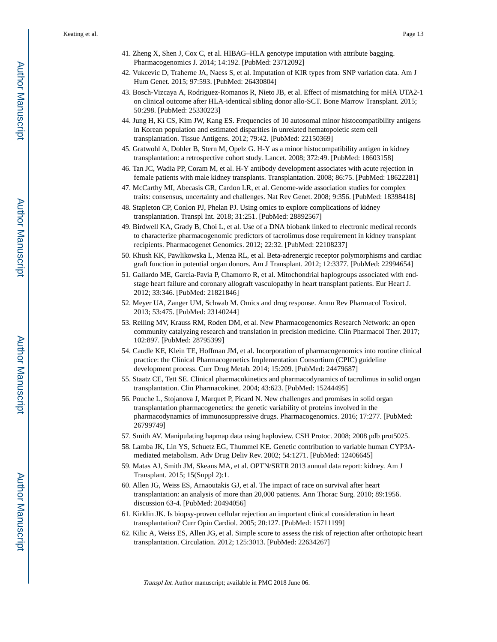- 41. Zheng X, Shen J, Cox C, et al. HIBAG–HLA genotype imputation with attribute bagging. Pharmacogenomics J. 2014; 14:192. [PubMed: 23712092]
- 42. Vukcevic D, Traherne JA, Naess S, et al. Imputation of KIR types from SNP variation data. Am J Hum Genet. 2015; 97:593. [PubMed: 26430804]
- 43. Bosch-Vizcaya A, Rodriguez-Romanos R, Nieto JB, et al. Effect of mismatching for mHA UTA2-1 on clinical outcome after HLA-identical sibling donor allo-SCT. Bone Marrow Transplant. 2015; 50:298. [PubMed: 25330223]
- 44. Jung H, Ki CS, Kim JW, Kang ES. Frequencies of 10 autosomal minor histocompatibility antigens in Korean population and estimated disparities in unrelated hematopoietic stem cell transplantation. Tissue Antigens. 2012; 79:42. [PubMed: 22150369]
- 45. Gratwohl A, Dohler B, Stern M, Opelz G. H-Y as a minor histocompatibility antigen in kidney transplantation: a retrospective cohort study. Lancet. 2008; 372:49. [PubMed: 18603158]
- 46. Tan JC, Wadia PP, Coram M, et al. H-Y antibody development associates with acute rejection in female patients with male kidney transplants. Transplantation. 2008; 86:75. [PubMed: 18622281]
- 47. McCarthy MI, Abecasis GR, Cardon LR, et al. Genome-wide association studies for complex traits: consensus, uncertainty and challenges. Nat Rev Genet. 2008; 9:356. [PubMed: 18398418]
- 48. Stapleton CP, Conlon PJ, Phelan PJ. Using omics to explore complications of kidney transplantation. Transpl Int. 2018; 31:251. [PubMed: 28892567]
- 49. Birdwell KA, Grady B, Choi L, et al. Use of a DNA biobank linked to electronic medical records to characterize pharmacogenomic predictors of tacrolimus dose requirement in kidney transplant recipients. Pharmacogenet Genomics. 2012; 22:32. [PubMed: 22108237]
- 50. Khush KK, Pawlikowska L, Menza RL, et al. Beta-adrenergic receptor polymorphisms and cardiac graft function in potential organ donors. Am J Transplant. 2012; 12:3377. [PubMed: 22994654]
- 51. Gallardo ME, Garcia-Pavia P, Chamorro R, et al. Mitochondrial haplogroups associated with endstage heart failure and coronary allograft vasculopathy in heart transplant patients. Eur Heart J. 2012; 33:346. [PubMed: 21821846]
- 52. Meyer UA, Zanger UM, Schwab M. Omics and drug response. Annu Rev Pharmacol Toxicol. 2013; 53:475. [PubMed: 23140244]
- 53. Relling MV, Krauss RM, Roden DM, et al. New Pharmacogenomics Research Network: an open community catalyzing research and translation in precision medicine. Clin Pharmacol Ther. 2017; 102:897. [PubMed: 28795399]
- 54. Caudle KE, Klein TE, Hoffman JM, et al. Incorporation of pharmacogenomics into routine clinical practice: the Clinical Pharmacogenetics Implementation Consortium (CPIC) guideline development process. Curr Drug Metab. 2014; 15:209. [PubMed: 24479687]
- 55. Staatz CE, Tett SE. Clinical pharmacokinetics and pharmacodynamics of tacrolimus in solid organ transplantation. Clin Pharmacokinet. 2004; 43:623. [PubMed: 15244495]
- 56. Pouche L, Stojanova J, Marquet P, Picard N. New challenges and promises in solid organ transplantation pharmacogenetics: the genetic variability of proteins involved in the pharmacodynamics of immunosuppressive drugs. Pharmacogenomics. 2016; 17:277. [PubMed: 26799749]
- 57. Smith AV. Manipulating hapmap data using haploview. CSH Protoc. 2008; 2008 pdb prot5025.
- 58. Lamba JK, Lin YS, Schuetz EG, Thummel KE. Genetic contribution to variable human CYP3Amediated metabolism. Adv Drug Deliv Rev. 2002; 54:1271. [PubMed: 12406645]
- 59. Matas AJ, Smith JM, Skeans MA, et al. OPTN/SRTR 2013 annual data report: kidney. Am J Transplant. 2015; 15(Suppl 2):1.
- 60. Allen JG, Weiss ES, Arnaoutakis GJ, et al. The impact of race on survival after heart transplantation: an analysis of more than 20,000 patients. Ann Thorac Surg. 2010; 89:1956. discussion 63-4. [PubMed: 20494056]
- 61. Kirklin JK. Is biopsy-proven cellular rejection an important clinical consideration in heart transplantation? Curr Opin Cardiol. 2005; 20:127. [PubMed: 15711199]
- 62. Kilic A, Weiss ES, Allen JG, et al. Simple score to assess the risk of rejection after orthotopic heart transplantation. Circulation. 2012; 125:3013. [PubMed: 22634267]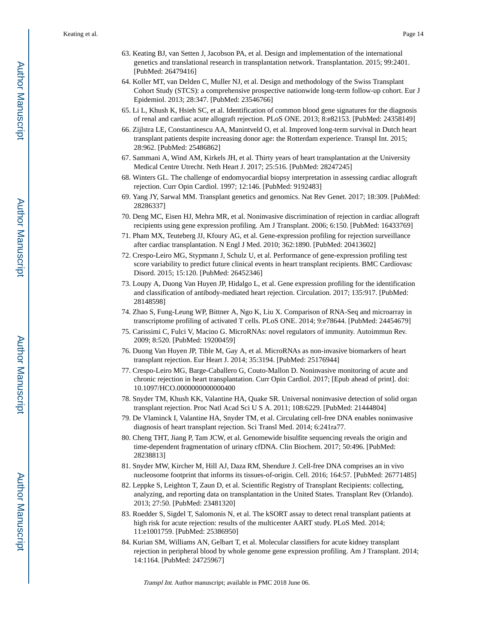- 63. Keating BJ, van Setten J, Jacobson PA, et al. Design and implementation of the international genetics and translational research in transplantation network. Transplantation. 2015; 99:2401. [PubMed: 26479416]
- 64. Koller MT, van Delden C, Muller NJ, et al. Design and methodology of the Swiss Transplant Cohort Study (STCS): a comprehensive prospective nationwide long-term follow-up cohort. Eur J Epidemiol. 2013; 28:347. [PubMed: 23546766]
- 65. Li L, Khush K, Hsieh SC, et al. Identification of common blood gene signatures for the diagnosis of renal and cardiac acute allograft rejection. PLoS ONE. 2013; 8:e82153. [PubMed: 24358149]
- 66. Zijlstra LE, Constantinescu AA, Manintveld O, et al. Improved long-term survival in Dutch heart transplant patients despite increasing donor age: the Rotterdam experience. Transpl Int. 2015; 28:962. [PubMed: 25486862]
- 67. Sammani A, Wind AM, Kirkels JH, et al. Thirty years of heart transplantation at the University Medical Centre Utrecht. Neth Heart J. 2017; 25:516. [PubMed: 28247245]
- 68. Winters GL. The challenge of endomyocardial biopsy interpretation in assessing cardiac allograft rejection. Curr Opin Cardiol. 1997; 12:146. [PubMed: 9192483]
- 69. Yang JY, Sarwal MM. Transplant genetics and genomics. Nat Rev Genet. 2017; 18:309. [PubMed: 28286337]
- 70. Deng MC, Eisen HJ, Mehra MR, et al. Noninvasive discrimination of rejection in cardiac allograft recipients using gene expression profiling. Am J Transplant. 2006; 6:150. [PubMed: 16433769]
- 71. Pham MX, Teuteberg JJ, Kfoury AG, et al. Gene-expression profiling for rejection surveillance after cardiac transplantation. N Engl J Med. 2010; 362:1890. [PubMed: 20413602]
- 72. Crespo-Leiro MG, Stypmann J, Schulz U, et al. Performance of gene-expression profiling test score variability to predict future clinical events in heart transplant recipients. BMC Cardiovasc Disord. 2015; 15:120. [PubMed: 26452346]
- 73. Loupy A, Duong Van Huyen JP, Hidalgo L, et al. Gene expression profiling for the identification and classification of antibody-mediated heart rejection. Circulation. 2017; 135:917. [PubMed: 28148598]
- 74. Zhao S, Fung-Leung WP, Bittner A, Ngo K, Liu X. Comparison of RNA-Seq and microarray in transcriptome profiling of activated T cells. PLoS ONE. 2014; 9:e78644. [PubMed: 24454679]
- 75. Carissimi C, Fulci V, Macino G. MicroRNAs: novel regulators of immunity. Autoimmun Rev. 2009; 8:520. [PubMed: 19200459]
- 76. Duong Van Huyen JP, Tible M, Gay A, et al. MicroRNAs as non-invasive biomarkers of heart transplant rejection. Eur Heart J. 2014; 35:3194. [PubMed: 25176944]
- 77. Crespo-Leiro MG, Barge-Caballero G, Couto-Mallon D. Noninvasive monitoring of acute and chronic rejection in heart transplantation. Curr Opin Cardiol. 2017; [Epub ahead of print]. doi: 10.1097/HCO.0000000000000400
- 78. Snyder TM, Khush KK, Valantine HA, Quake SR. Universal noninvasive detection of solid organ transplant rejection. Proc Natl Acad Sci U S A. 2011; 108:6229. [PubMed: 21444804]
- 79. De Vlaminck I, Valantine HA, Snyder TM, et al. Circulating cell-free DNA enables noninvasive diagnosis of heart transplant rejection. Sci Transl Med. 2014; 6:241ra77.
- 80. Cheng THT, Jiang P, Tam JCW, et al. Genomewide bisulfite sequencing reveals the origin and time-dependent fragmentation of urinary cfDNA. Clin Biochem. 2017; 50:496. [PubMed: 28238813]
- 81. Snyder MW, Kircher M, Hill AJ, Daza RM, Shendure J. Cell-free DNA comprises an in vivo nucleosome footprint that informs its tissues-of-origin. Cell. 2016; 164:57. [PubMed: 26771485]
- 82. Leppke S, Leighton T, Zaun D, et al. Scientific Registry of Transplant Recipients: collecting, analyzing, and reporting data on transplantation in the United States. Transplant Rev (Orlando). 2013; 27:50. [PubMed: 23481320]
- 83. Roedder S, Sigdel T, Salomonis N, et al. The kSORT assay to detect renal transplant patients at high risk for acute rejection: results of the multicenter AART study. PLoS Med. 2014; 11:e1001759. [PubMed: 25386950]
- 84. Kurian SM, Williams AN, Gelbart T, et al. Molecular classifiers for acute kidney transplant rejection in peripheral blood by whole genome gene expression profiling. Am J Transplant. 2014; 14:1164. [PubMed: 24725967]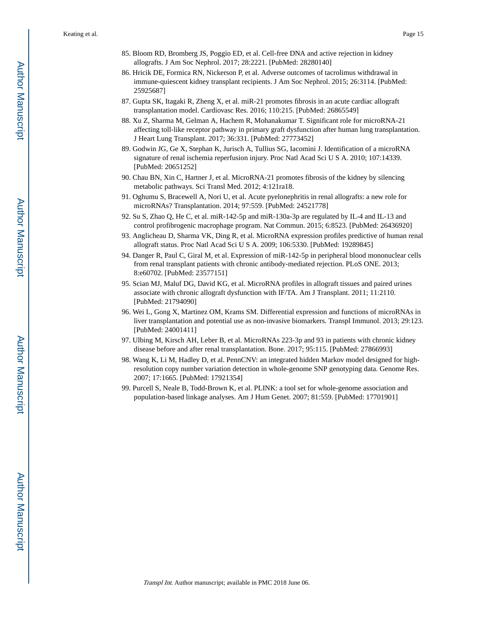- 85. Bloom RD, Bromberg JS, Poggio ED, et al. Cell-free DNA and active rejection in kidney allografts. J Am Soc Nephrol. 2017; 28:2221. [PubMed: 28280140]
- 86. Hricik DE, Formica RN, Nickerson P, et al. Adverse outcomes of tacrolimus withdrawal in immune-quiescent kidney transplant recipients. J Am Soc Nephrol. 2015; 26:3114. [PubMed: 25925687]
- 87. Gupta SK, Itagaki R, Zheng X, et al. miR-21 promotes fibrosis in an acute cardiac allograft transplantation model. Cardiovasc Res. 2016; 110:215. [PubMed: 26865549]
- 88. Xu Z, Sharma M, Gelman A, Hachem R, Mohanakumar T. Significant role for microRNA-21 affecting toll-like receptor pathway in primary graft dysfunction after human lung transplantation. J Heart Lung Transplant. 2017; 36:331. [PubMed: 27773452]
- 89. Godwin JG, Ge X, Stephan K, Jurisch A, Tullius SG, Iacomini J. Identification of a microRNA signature of renal ischemia reperfusion injury. Proc Natl Acad Sci U S A. 2010; 107:14339. [PubMed: 20651252]
- 90. Chau BN, Xin C, Hartner J, et al. MicroRNA-21 promotes fibrosis of the kidney by silencing metabolic pathways. Sci Transl Med. 2012; 4:121ra18.
- 91. Oghumu S, Bracewell A, Nori U, et al. Acute pyelonephritis in renal allografts: a new role for microRNAs? Transplantation. 2014; 97:559. [PubMed: 24521778]
- 92. Su S, Zhao Q, He C, et al. miR-142-5p and miR-130a-3p are regulated by IL-4 and IL-13 and control profibrogenic macrophage program. Nat Commun. 2015; 6:8523. [PubMed: 26436920]
- 93. Anglicheau D, Sharma VK, Ding R, et al. MicroRNA expression profiles predictive of human renal allograft status. Proc Natl Acad Sci U S A. 2009; 106:5330. [PubMed: 19289845]
- 94. Danger R, Paul C, Giral M, et al. Expression of miR-142-5p in peripheral blood mononuclear cells from renal transplant patients with chronic antibody-mediated rejection. PLoS ONE. 2013; 8:e60702. [PubMed: 23577151]
- 95. Scian MJ, Maluf DG, David KG, et al. MicroRNA profiles in allograft tissues and paired urines associate with chronic allograft dysfunction with IF/TA. Am J Transplant. 2011; 11:2110. [PubMed: 21794090]
- 96. Wei L, Gong X, Martinez OM, Krams SM. Differential expression and functions of microRNAs in liver transplantation and potential use as non-invasive biomarkers. Transpl Immunol. 2013; 29:123. [PubMed: 24001411]
- 97. Ulbing M, Kirsch AH, Leber B, et al. MicroRNAs 223-3p and 93 in patients with chronic kidney disease before and after renal transplantation. Bone. 2017; 95:115. [PubMed: 27866993]
- 98. Wang K, Li M, Hadley D, et al. PennCNV: an integrated hidden Markov model designed for highresolution copy number variation detection in whole-genome SNP genotyping data. Genome Res. 2007; 17:1665. [PubMed: 17921354]
- 99. Purcell S, Neale B, Todd-Brown K, et al. PLINK: a tool set for whole-genome association and population-based linkage analyses. Am J Hum Genet. 2007; 81:559. [PubMed: 17701901]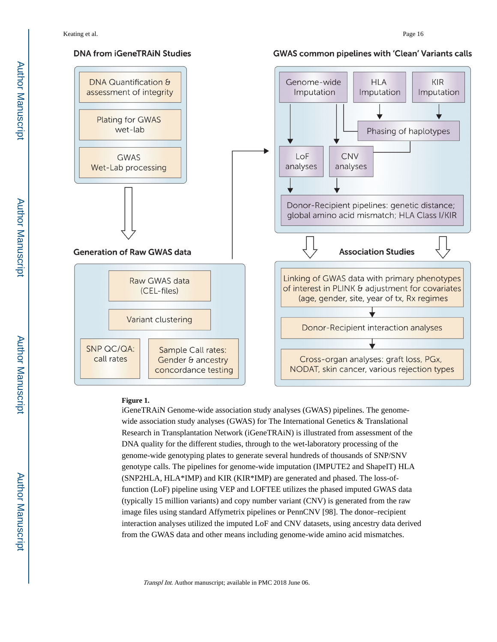

#### **Figure 1.**

iGeneTRAiN Genome-wide association study analyses (GWAS) pipelines. The genomewide association study analyses (GWAS) for The International Genetics & Translational Research in Transplantation Network (iGeneTRAiN) is illustrated from assessment of the DNA quality for the different studies, through to the wet-laboratory processing of the genome-wide genotyping plates to generate several hundreds of thousands of SNP/SNV genotype calls. The pipelines for genome-wide imputation (IMPUTE2 and ShapeIT) HLA (SNP2HLA, HLA\*IMP) and KIR (KIR\*IMP) are generated and phased. The loss-offunction (LoF) pipeline using VEP and LOFTEE utilizes the phased imputed GWAS data (typically 15 million variants) and copy number variant (CNV) is generated from the raw image files using standard Affymetrix pipelines or PennCNV [98]. The donor–recipient interaction analyses utilized the imputed LoF and CNV datasets, using ancestry data derived from the GWAS data and other means including genome-wide amino acid mismatches.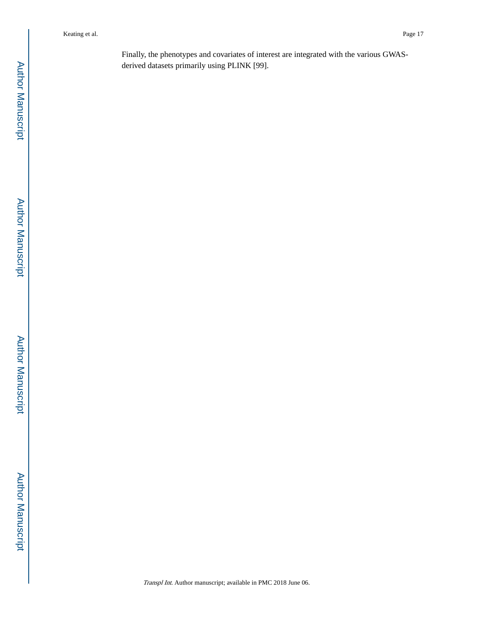Finally, the phenotypes and covariates of interest are integrated with the various GWASderived datasets primarily using PLINK [99].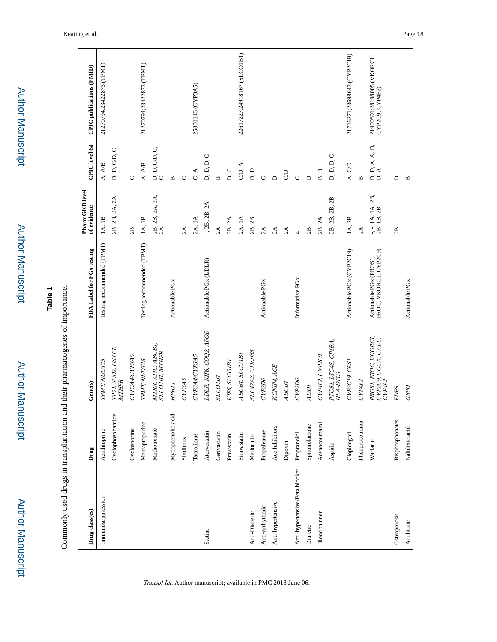| Drug class(es)                 | Drug              | Gene(s)                                               | FDA Label for PGx testing                       | PharmGKB level<br>of evidence    | CPIC level (s)                                                                           | CPIC publications (PMID)                      |
|--------------------------------|-------------------|-------------------------------------------------------|-------------------------------------------------|----------------------------------|------------------------------------------------------------------------------------------|-----------------------------------------------|
| Immunosuppression              | Azathioprine      | TPMT, NUDT15                                          | Testing recommended (TPMT)                      | IA, IB                           | A, A/B                                                                                   | 21270794;23422873 (TPMT)                      |
|                                | Cyclophosphamide  | TP53, SOD2, GSTP1,<br>MTHFR                           |                                                 | 2B, 2B, 2A, 2A                   | D, D, C/D, C                                                                             |                                               |
|                                | Cyclosporine      | CYP3A4CYP3A5                                          |                                                 | 2B                               | Ò                                                                                        |                                               |
|                                | Mercaptopurine    | TPMT, NUDT15                                          | Testing recommended (TPMT)                      | 1A, 1B                           | A, A/B                                                                                   | 21270794;23422873 (TPMT)                      |
|                                | Methotrexate      | MTRR, ATIC, ABCB1,<br>SLCOIBI, MTHFR                  |                                                 | 2B, 2B, 2A, 2A,<br>2A            | $\mathop{\text{\rm D}}\limits_{\text{\rm C}}$ D, C, D, C, $\mathop{\text{\rm C}}\limits$ |                                               |
|                                | Mycophenolic acid | <b>HPRT1</b>                                          | Actionable PG <sub>x</sub>                      |                                  | $\mathbf{a}$                                                                             |                                               |
|                                | Sirolimus         | CYP3A5                                                |                                                 | 2A                               | Õ                                                                                        |                                               |
|                                | Tacrolimus        | CYP3A4CYP3A5                                          |                                                 | 2A, 1A                           | C, A                                                                                     | 25801146 (CYP3A5)                             |
| <b>Statins</b>                 | Atorvastatin      | LDLR, KIF6, COQ2, APOE                                | Actionable PGx (LDLR)                           | $-$ , 2B, 2B, 2A                 | D, D, D, C                                                                               |                                               |
|                                | Cerivastatin      | <b>SLCOIBI</b>                                        |                                                 | 2A                               | $\mathbf{\underline{m}}$                                                                 |                                               |
|                                | Pravastatin       | KIF6, SLCO1B1                                         |                                                 | 2B, 2A                           | D, C                                                                                     |                                               |
|                                | Simvastatin       | ABCBI, SLCOIBI                                        |                                                 | 2A, 1A                           | CD, A                                                                                    | 22617227;24918167 (SLCO1B1)                   |
| Anti-Diabetic                  | Metformin         | SLC47A2, C11orf65                                     |                                                 | 2B, 2B                           | D, D                                                                                     |                                               |
| Anti-arrhythmic                | Propafenone       | CYP2D6                                                | Actionable PG <sub>x</sub>                      | 2A                               | $\cup$                                                                                   |                                               |
| Anti-hypertensive              | Ace Inhibitors    | KCNIP4, ACE                                           |                                                 | 2A                               | $\mathbf{D}$                                                                             |                                               |
|                                | Digoxin           | ABCBI                                                 |                                                 | 2A                               | S                                                                                        |                                               |
| Anti-hypertensive/Beta blocker | Propranolol       | CYP2D6                                                | Informative PG <sub>x</sub>                     | $\overline{a}$                   | $\cup$                                                                                   |                                               |
| Diuretic                       | Spironolactone    | <b>IGOV</b>                                           |                                                 | 2B                               | $\Box$                                                                                   |                                               |
| <b>Blood</b> thinner           | Acenocoumarol     | CYP4F2, CYP2C9                                        |                                                 | 2B, 2A                           | B, B                                                                                     |                                               |
|                                | Aspirin           | PTGS1, LTC4S, GPIBA,<br>HLA-DPB1                      |                                                 | 2B, 2B, 2B, 2B                   | D, D, D, C                                                                               |                                               |
|                                | Clopidogrel       | CYP2C19, CES1                                         | Actionable PGx (CYP2C19)                        | IA, 2B                           | A, CD                                                                                    | 21716271;23698643 (CYP2C19)                   |
|                                | Phenprocoumon     | CYP4F2                                                |                                                 | 2A                               | $\mathbf{u}$                                                                             |                                               |
|                                | Warfarin          | PROS1, PROC, VKORC1,<br>CYP2C9, GGCX, CALU,<br>CYP4F2 | Actionable PGx (PROS1,<br>PROC, VKORC1, CYP2C9) | $-,-1$ A, 1A, 2B, 2B, 2B, 1B, 2B | D, D, A, A, D,<br>D, A                                                                   | 21900891;28198005 (VKORC1,<br>CYP2C9, CYP4F2) |
| Osteoporosis                   | Bisphosphonates   | FDPS                                                  |                                                 | 2B                               | $\Box$                                                                                   |                                               |
| Antibiotic                     | Nalidixic acid    | G6PD                                                  | Actionable PG <sub>x</sub>                      |                                  | $\mathbf{r}$                                                                             |                                               |

Transpl Int. Author manuscript; available in PMC 2018 June 06.

Keating et al. Page 18

Author Manuscript

**Table 1**

Commonly used drugs in transplantation and their pharmacogenes of importance.

Commonly used drugs in transplantation and their pharmacogenes of importance.